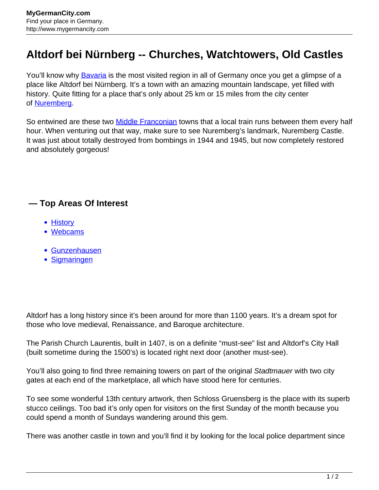## **Altdorf bei Nürnberg -- Churches, Watchtowers, Old Castles**

You'll know why **Bavaria** is the most visited region in all of Germany once you get a glimpse of a place like Altdorf bei Nürnberg. It's a town with an amazing mountain landscape, yet filled with history. Quite fitting for a place that's only about 25 km or 15 miles from the city center of [Nuremberg.](http://www.mygermancity.com/nuremberg)

So entwined are these two **Middle Franconian** towns that a local train runs between them every half hour. When venturing out that way, make sure to see Nuremberg's landmark, Nuremberg Castle. It was just about totally destroyed from bombings in 1944 and 1945, but now completely restored and absolutely gorgeous!

## **— Top Areas Of Interest**

- [History](http://www.mygermancity.com/leipzig-history)
- [Webcams](http://www.mygermancity.com/neustadt-holstein-webcams)
- [Gunzenhausen](http://www.mygermancity.com/gunzenhausen)
- [Sigmaringen](http://www.mygermancity.com/sigmaringen)

Altdorf has a long history since it's been around for more than 1100 years. It's a dream spot for those who love medieval, Renaissance, and Baroque architecture.

The Parish Church Laurentis, built in 1407, is on a definite "must-see" list and Altdorf's City Hall (built sometime during the 1500's) is located right next door (another must-see).

You'll also going to find three remaining towers on part of the original Stadtmauer with two city gates at each end of the marketplace, all which have stood here for centuries.

To see some wonderful 13th century artwork, then Schloss Gruensberg is the place with its superb stucco ceilings. Too bad it's only open for visitors on the first Sunday of the month because you could spend a month of Sundays wandering around this gem.

There was another castle in town and you'll find it by looking for the local police department since